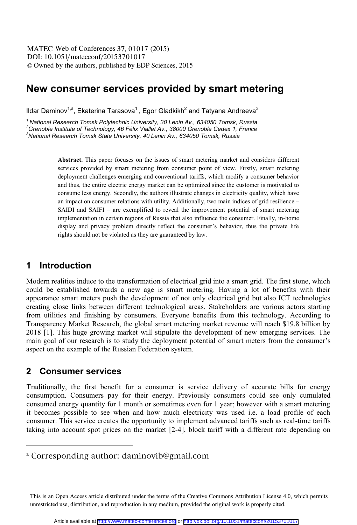DOI: 10.1051/matecconf/20153701017 -<sup>C</sup> Owned by the authors, published by EDP Sciences, 2015 MATEC Web of Conferences 37, 01017 (2015)

# **New consumer services provided by smart metering**

Ildar Daminov $^{1,a}$ , Ekaterina Tarasova $^1$ , Egor Gladkikh $^2$  and Tatyana Andreeva $^3$ 

*1 National Research Tomsk Polytechnic University, 30 Lenin Av., 634050 Tomsk, Russia*  <sup>2</sup> Grenoble Institute of Technology, 46 Félix Viallet Av., 38000 Grenoble Cedex 1, France 3<br><sup>3</sup>Notional Bassersh Temak State University 40 Lanin Av. 634050 Temak, Bussin *National Research Tomsk State University, 40 Lenin Av., 634050 Tomsk, Russia* 

> **Abstract.** This paper focuses on the issues of smart metering market and considers different services provided by smart metering from consumer point of view. Firstly, smart metering deployment challenges emerging and conventional tariffs, which modify a consumer behavior and thus, the entire electric energy market can be optimized since the customer is motivated to consume less energy. Secondly, the authors illustrate changes in electricity quality, which have an impact on consumer relations with utility. Additionally, two main indices of grid resilience – SAIDI and SAIFI – are exemplified to reveal the improvement potential of smart metering implementation in certain regions of Russia that also influence the consumer. Finally, in-home display and privacy problem directly reflect the consumer's behavior, thus the private life rights should not be violated as they are guaranteed by law.

### **1 Introduction**

Modern realities induce to the transformation of electrical grid into a smart grid. The first stone, which could be established towards a new age is smart metering. Having a lot of benefits with their appearance smart meters push the development of not only electrical grid but also ICT technologies creating close links between different technological areas. Stakeholders are various actors starting from utilities and finishing by consumers. Everyone benefits from this technology. According to Transparency Market Research, the global smart metering market revenue will reach \$19.8 billion by 2018 [1]. This huge growing market will stipulate the development of new emerging services. The main goal of our research is to study the deployment potential of smart meters from the consumer's aspect on the example of the Russian Federation system.

#### **2 Consumer services**

 $\overline{a}$ 

Traditionally, the first benefit for a consumer is service delivery of accurate bills for energy consumption. Consumers pay for their energy. Previously consumers could see only cumulated consumed energy quantity for 1 month or sometimes even for 1 year; however with a smart metering it becomes possible to see when and how much electricity was used i.e. a load profile of each consumer. This service creates the opportunity to implement advanced tariffs such as real-time tariffs taking into account spot prices on the market [2-4], block tariff with a different rate depending on

a Corresponding author: daminovib@gmail.com

This is an Open Access article distributed under the terms of the Creative Commons Attribution License 4.0, which permits unrestricted use, distribution, and reproduction in any medium, provided the original work is properly cited.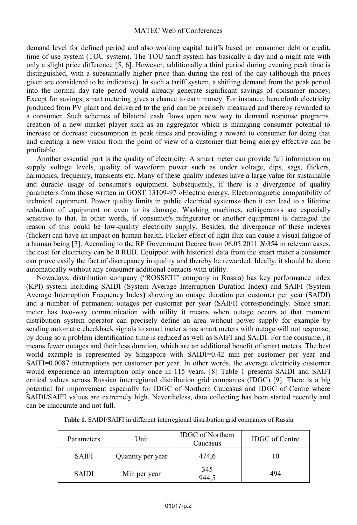demand level for defined period and also working capital tariffs based on consumer debt or credit, time of use system (TOU system). The TOU tariff system has basically a day and a night rate with only a slight price difference [5, 6]. However, additionally a third period during evening peak time is distinguished, with a substantially higher price than during the rest of the day (although the prices given are considered to be indicative). In such a tariff system, a shifting demand from the peak period into the normal day rate period would already generate significant savings of consumer money. Except for savings, smart metering gives a chance to earn money. For instance, henceforth electricity produced from PV plant and delivered to the grid can be precisely measured and thereby rewarded to a consumer. Such schemes of bilateral cash flows open new way to demand response programs, creation of a new market player such as an aggregator which is managing consumer potential to increase or decrease consumption in peak times and providing a reward to consumer for doing that and creating a new vision from the point of view of a customer that being energy effective can be profitable.

Another essential part is the quality of electricity. A smart meter can provide full information on supply voltage levels, quality of waveform power such as under voltage, dips, sags, flickers, harmonics, frequency, transients etc. Many of these quality indexes have a large value for sustainable and durable usage of consumer's equipment. Subsequently, if there is a divergence of quality parameters from those written in GOST 13109-97 «Electric energy. Electromagnetic compatibility of technical equipment. Power quality limits in public electrical systems» then it can lead to a lifetime reduction of equipment or even to its damage. Washing machines, refrigerators are especially sensitive to that. In other words, if consumer's refrigerator or another equipment is damaged the reason of this could be low-quality electricity supply. Besides, the divergence of these indexes (flicker) can have an impact on human health. Flicker effect of light flux can cause a visual fatigue of a human being [7]. According to the RF Government Decree from 06.05.2011 №354 in relevant cases, the cost for electricity can be 0 RUB. Equipped with historical data from the smart meter a consumer can prove easily the fact of discrepancy in quality and thereby be rewarded. Ideally, it should be done automatically without any consumer additional contacts with utility.

Nowadays, distribution company ("ROSSETI" company in Russia) has key performance index (KPI) system including SAIDI (System Average Interruption Duration Index**)** and SAIFI (System Average Interruption Frequency Index**)** showing an outage duration per customer per year (SAIDI) and a number of permanent outages per customer per year (SAIFI) correspondingly. Since smart meter has two-way communication with utility it means when outage occurs at that moment distribution system operator can precisely define an area without power supply for example by sending automatic checkback signals to smart meter since smart meters with outage will not response; by doing so a problem identification time is reduced as well as SAIFI and SAIDI. For the consumer, it means fewer outages and their less duration, which are an additional benefit of smart meters. The best world example is represented by Singapore with SAIDI=0.42 min per customer per year and SAIFI=0.0087 interruptions per customer per year. In other words, the average electricity customer would experience an interruption only once in 115 years. [8] Table 1 presents SAIDI and SAIFI critical values across Russian interregional distribution grid companies (IDGC) [9]. There is a big potential for improvement especially for IDGC of Northern Caucasus and IDGC of Centre where SAIDI/SAIFI values are extremely high. Nevertheless, data collecting has been started recently and can be inaccurate and not full.

| Parameters   | Unit              | <b>IDGC</b> of Northern<br>Caucasus | <b>IDGC</b> of Centre |
|--------------|-------------------|-------------------------------------|-----------------------|
| <b>SAIFI</b> | Quantity per year | 474,6                               |                       |
| <b>SAIDI</b> | Min per year      | 345<br>944.5                        | 494                   |

| Table 1. SAIDI/SAIFI in different interregional distribution grid companies of Russia |  |  |  |
|---------------------------------------------------------------------------------------|--|--|--|
|                                                                                       |  |  |  |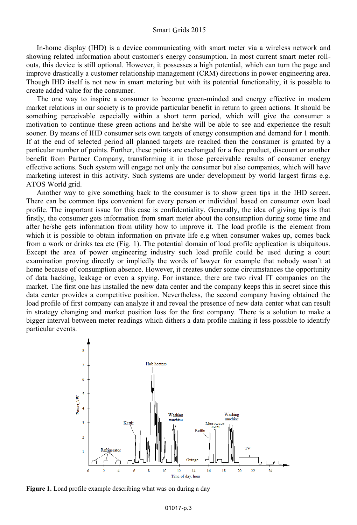In-home display (IHD) is a device communicating with smart meter via a wireless network and showing related information about customer's energy consumption. In most current smart meter rollouts, this device is still optional. However, it possesses a high potential, which can turn the page and improve drastically a customer relationship management (CRM) directions in power engineering area. Though IHD itself is not new in smart metering but with its potential functionality, it is possible to create added value for the consumer.

The one way to inspire a consumer to become green-minded and energy effective in modern market relations in our society is to provide particular benefit in return to green actions. It should be something perceivable especially within a short term period, which will give the consumer a motivation to continue these green actions and he/she will be able to see and experience the result sooner. By means of IHD consumer sets own targets of energy consumption and demand for 1 month. If at the end of selected period all planned targets are reached then the consumer is granted by a particular number of points. Further, these points are exchanged for a free product, discount or another benefit from Partner Company, transforming it in those perceivable results of consumer energy effective actions. Such system will engage not only the consumer but also companies, which will have marketing interest in this activity. Such systems are under development by world largest firms e.g. ATOS World grid.

Another way to give something back to the consumer is to show green tips in the IHD screen. There can be common tips convenient for every person or individual based on consumer own load profile. The important issue for this case is confidentiality. Generally, the idea of giving tips is that firstly, the consumer gets information from smart meter about the consumption during some time and after he/she gets information from utility how to improve it. The load profile is the element from which it is possible to obtain information on private life e.g when consumer wakes up, comes back from a work or drinks tea etc (Fig. 1). The potential domain of load profile application is ubiquitous. Except the area of power engineering industry such load profile could be used during a court examination proving directly or impliedly the words of lawyer for example that nobody wasn't at home because of consumption absence. However, it creates under some circumstances the opportunity of data hacking, leakage or even a spying. For instance, there are two rival IT companies on the market. The first one has installed the new data center and the company keeps this in secret since this data center provides a competitive position. Nevertheless, the second company having obtained the load profile of first company can analyze it and reveal the presence of new data center what can result in strategy changing and market position loss for the first company. There is a solution to make a bigger interval between meter readings which dithers a data profile making it less possible to identify particular events.



**Figure 1.** Load profile example describing what was on during a day